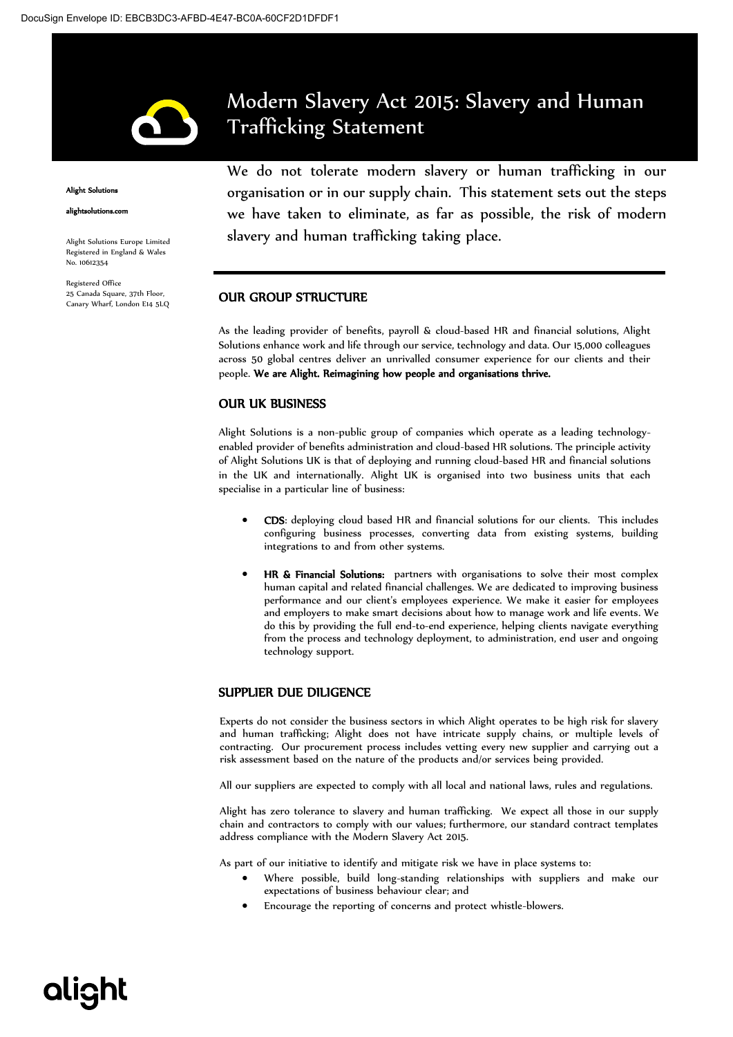

#### **Alight Solutio**

alightsolutions.com

Alight Solutions Europe Limited Registered in England & Wales No. 10612354

Registered Office 25 Canada Square, 37th Floor, Canary Wharf, London E14 5LQ Modern Slavery Act 2015: Slavery and Human Trafficking Statement

We do not tolerate modern slavery or human trafficking in our organisation or in our supply chain. This statement sets out the steps we have taken to eliminate, as far as possible, the risk of modern slavery and human trafficking taking place.

#### OUR GROUP STRUCTURE

As the leading provider of benefits, payroll & cloud-based HR and financial solutions, Alight Solutions enhance work and life through our service, technology and data. Our 15,000 colleagues across 50 global centres deliver an unrivalled consumer experience for our clients and their people. We are Alight. Reimagining how people and organisations thrive.

#### OUR UK BUSINESS

Alight Solutions is a non-public group of companies which operate as a leading technologyenabled provider of benefits administration and cloud-based HR solutions. The principle activity of Alight Solutions UK is that of deploying and running cloud-based HR and financial solutions in the UK and internationally. Alight UK is organised into two business units that each specialise in a particular line of business:

- CDS: deploying cloud based HR and financial solutions for our clients. This includes configuring business processes, converting data from existing systems, building integrations to and from other systems.
- HR & Financial Solutions: partners with organisations to solve their most complex human capital and related financial challenges. We are dedicated to improving business performance and our client's employees experience. We make it easier for employees and employers to make smart decisions about how to manage work and life events. We do this by providing the full end-to-end experience, helping clients navigate everything from the process and technology deployment, to administration, end user and ongoing technology support.

### SUPPLIER DUE DILIGENCE

Experts do not consider the business sectors in which Alight operates to be high risk for slavery and human trafficking; Alight does not have intricate supply chains, or multiple levels of contracting. Our procurement process includes vetting every new supplier and carrying out a risk assessment based on the nature of the products and/or services being provided.

All our suppliers are expected to comply with all local and national laws, rules and regulations.

Alight has zero tolerance to slavery and human trafficking. We expect all those in our supply chain and contractors to comply with our values; furthermore, our standard contract templates address compliance with the Modern Slavery Act 2015.

As part of our initiative to identify and mitigate risk we have in place systems to:

- Where possible, build long-standing relationships with suppliers and make our expectations of business behaviour clear; and
- Encourage the reporting of concerns and protect whistle-blowers.

# **alight**